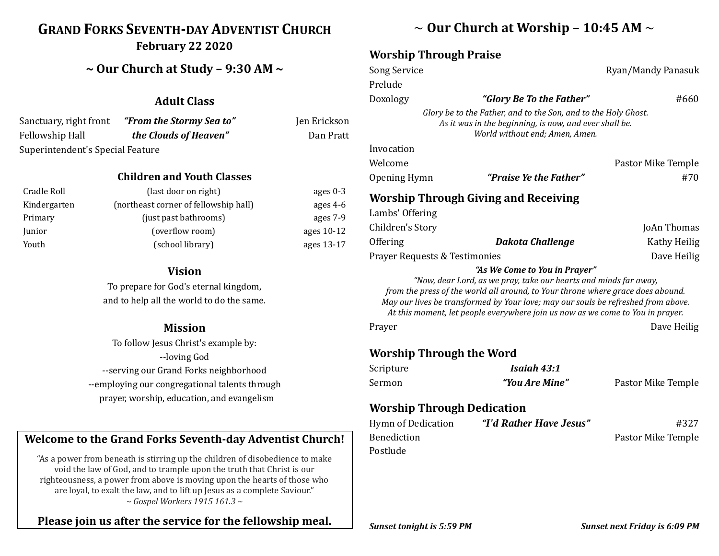# **GRAND FORKS SEVENTH-DAY ADVENTIST CHURCH February 22 2020**

## **~ Our Church at Study – 9:30 AM ~**

### **Adult Class**

| Sanctuary, right front           | "From the Stormy Sea to" | Jen Erickson |
|----------------------------------|--------------------------|--------------|
| Fellowship Hall                  | the Clouds of Heaven"    | Dan Pratt    |
| Superintendent's Special Feature |                          |              |

#### **Children and Youth Classes**

| Cradle Roll  | (last door on right)                  | ages $0-3$ |
|--------------|---------------------------------------|------------|
| Kindergarten | (northeast corner of fellowship hall) | ages $4-6$ |
| Primary      | (just past bathrooms)                 | ages 7-9   |
| Junior       | (overflow room)                       | ages 10-12 |
| Youth        | (school library)                      | ages 13-17 |

#### **Vision**

To prepare for God's eternal kingdom, and to help all the world to do the same.

#### **Mission**

To follow Jesus Christ's example by: --loving God --serving our Grand Forks neighborhood --employing our congregational talents through prayer, worship, education, and evangelism

## **Welcome to the Grand Forks Seventh-day Adventist Church!**

"As a power from beneath is stirring up the children of disobedience to make void the law of God, and to trample upon the truth that Christ is our righteousness, a power from above is moving upon the hearts of those who are loyal, to exalt the law, and to lift up Jesus as a complete Saviour." *~ Gospel Workers 1915 161.3 ~*

## **Please join us after the service for the fellowship meal.**

# ~ **Our Church at Worship – 10:45 AM** ~

### **Worship Through Praise**

| <b>Song Service</b>               |                                                                                                                                                                                                                                                                                                                                                             | Ryan/Mandy Panasuk |
|-----------------------------------|-------------------------------------------------------------------------------------------------------------------------------------------------------------------------------------------------------------------------------------------------------------------------------------------------------------------------------------------------------------|--------------------|
| Prelude                           |                                                                                                                                                                                                                                                                                                                                                             |                    |
| Doxology                          | "Glory Be To the Father"                                                                                                                                                                                                                                                                                                                                    | #660               |
|                                   | Glory be to the Father, and to the Son, and to the Holy Ghost.<br>As it was in the beginning, is now, and ever shall be.<br>World without end; Amen, Amen.                                                                                                                                                                                                  |                    |
| Invocation                        |                                                                                                                                                                                                                                                                                                                                                             |                    |
| Welcome                           |                                                                                                                                                                                                                                                                                                                                                             | Pastor Mike Temple |
| Opening Hymn                      | "Praise Ye the Father"                                                                                                                                                                                                                                                                                                                                      | #70                |
|                                   | <b>Worship Through Giving and Receiving</b>                                                                                                                                                                                                                                                                                                                 |                    |
| Lambs' Offering                   |                                                                                                                                                                                                                                                                                                                                                             |                    |
| Children's Story                  |                                                                                                                                                                                                                                                                                                                                                             | JoAn Thomas        |
| Offering                          | <b>Dakota Challenge</b>                                                                                                                                                                                                                                                                                                                                     | Kathy Heilig       |
| Prayer Requests & Testimonies     |                                                                                                                                                                                                                                                                                                                                                             | Dave Heilig        |
|                                   | "As We Come to You in Prayer"<br>"Now, dear Lord, as we pray, take our hearts and minds far away,<br>from the press of the world all around, to Your throne where grace does abound.<br>May our lives be transformed by Your love; may our souls be refreshed from above.<br>At this moment, let people everywhere join us now as we come to You in prayer. |                    |
| Prayer                            |                                                                                                                                                                                                                                                                                                                                                             | Dave Heilig        |
| <b>Worship Through the Word</b>   |                                                                                                                                                                                                                                                                                                                                                             |                    |
| Scripture                         | Isaiah 43:1                                                                                                                                                                                                                                                                                                                                                 |                    |
| Sermon                            | "You Are Mine"                                                                                                                                                                                                                                                                                                                                              | Pastor Mike Temple |
| <b>Worship Through Dedication</b> |                                                                                                                                                                                                                                                                                                                                                             |                    |
| <b>Hymn of Dedication</b>         | "I'd Rather Have Jesus"                                                                                                                                                                                                                                                                                                                                     | #327               |
| <b>Benediction</b>                |                                                                                                                                                                                                                                                                                                                                                             | Pastor Mike Temple |
| Postlude                          |                                                                                                                                                                                                                                                                                                                                                             |                    |
|                                   |                                                                                                                                                                                                                                                                                                                                                             |                    |